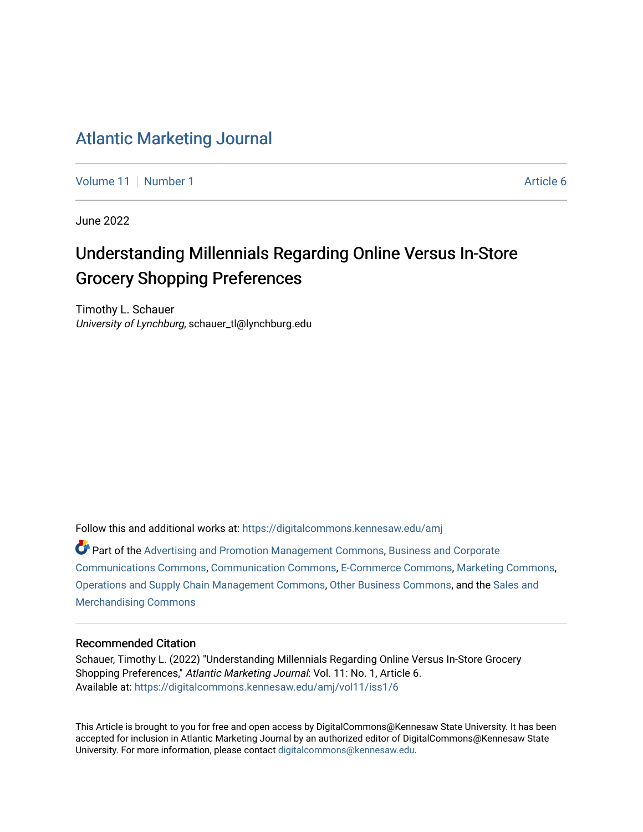### [Atlantic Marketing Journal](https://digitalcommons.kennesaw.edu/amj)

[Volume 11](https://digitalcommons.kennesaw.edu/amj/vol11) | [Number 1](https://digitalcommons.kennesaw.edu/amj/vol11/iss1) Article 6

June 2022

## Understanding Millennials Regarding Online Versus In-Store Grocery Shopping Preferences

Timothy L. Schauer University of Lynchburg, schauer\_tl@lynchburg.edu

Follow this and additional works at: [https://digitalcommons.kennesaw.edu/amj](https://digitalcommons.kennesaw.edu/amj?utm_source=digitalcommons.kennesaw.edu%2Famj%2Fvol11%2Fiss1%2F6&utm_medium=PDF&utm_campaign=PDFCoverPages) 

Part of the [Advertising and Promotion Management Commons,](https://network.bepress.com/hgg/discipline/626?utm_source=digitalcommons.kennesaw.edu%2Famj%2Fvol11%2Fiss1%2F6&utm_medium=PDF&utm_campaign=PDFCoverPages) [Business and Corporate](https://network.bepress.com/hgg/discipline/627?utm_source=digitalcommons.kennesaw.edu%2Famj%2Fvol11%2Fiss1%2F6&utm_medium=PDF&utm_campaign=PDFCoverPages) [Communications Commons,](https://network.bepress.com/hgg/discipline/627?utm_source=digitalcommons.kennesaw.edu%2Famj%2Fvol11%2Fiss1%2F6&utm_medium=PDF&utm_campaign=PDFCoverPages) [Communication Commons](https://network.bepress.com/hgg/discipline/325?utm_source=digitalcommons.kennesaw.edu%2Famj%2Fvol11%2Fiss1%2F6&utm_medium=PDF&utm_campaign=PDFCoverPages), [E-Commerce Commons,](https://network.bepress.com/hgg/discipline/624?utm_source=digitalcommons.kennesaw.edu%2Famj%2Fvol11%2Fiss1%2F6&utm_medium=PDF&utm_campaign=PDFCoverPages) [Marketing Commons](https://network.bepress.com/hgg/discipline/638?utm_source=digitalcommons.kennesaw.edu%2Famj%2Fvol11%2Fiss1%2F6&utm_medium=PDF&utm_campaign=PDFCoverPages), [Operations and Supply Chain Management Commons,](https://network.bepress.com/hgg/discipline/1229?utm_source=digitalcommons.kennesaw.edu%2Famj%2Fvol11%2Fiss1%2F6&utm_medium=PDF&utm_campaign=PDFCoverPages) [Other Business Commons,](https://network.bepress.com/hgg/discipline/647?utm_source=digitalcommons.kennesaw.edu%2Famj%2Fvol11%2Fiss1%2F6&utm_medium=PDF&utm_campaign=PDFCoverPages) and the [Sales and](https://network.bepress.com/hgg/discipline/646?utm_source=digitalcommons.kennesaw.edu%2Famj%2Fvol11%2Fiss1%2F6&utm_medium=PDF&utm_campaign=PDFCoverPages) [Merchandising Commons](https://network.bepress.com/hgg/discipline/646?utm_source=digitalcommons.kennesaw.edu%2Famj%2Fvol11%2Fiss1%2F6&utm_medium=PDF&utm_campaign=PDFCoverPages)

#### Recommended Citation

Schauer, Timothy L. (2022) "Understanding Millennials Regarding Online Versus In-Store Grocery Shopping Preferences," Atlantic Marketing Journal: Vol. 11: No. 1, Article 6. Available at: [https://digitalcommons.kennesaw.edu/amj/vol11/iss1/6](https://digitalcommons.kennesaw.edu/amj/vol11/iss1/6?utm_source=digitalcommons.kennesaw.edu%2Famj%2Fvol11%2Fiss1%2F6&utm_medium=PDF&utm_campaign=PDFCoverPages) 

This Article is brought to you for free and open access by DigitalCommons@Kennesaw State University. It has been accepted for inclusion in Atlantic Marketing Journal by an authorized editor of DigitalCommons@Kennesaw State University. For more information, please contact [digitalcommons@kennesaw.edu.](mailto:digitalcommons@kennesaw.edu)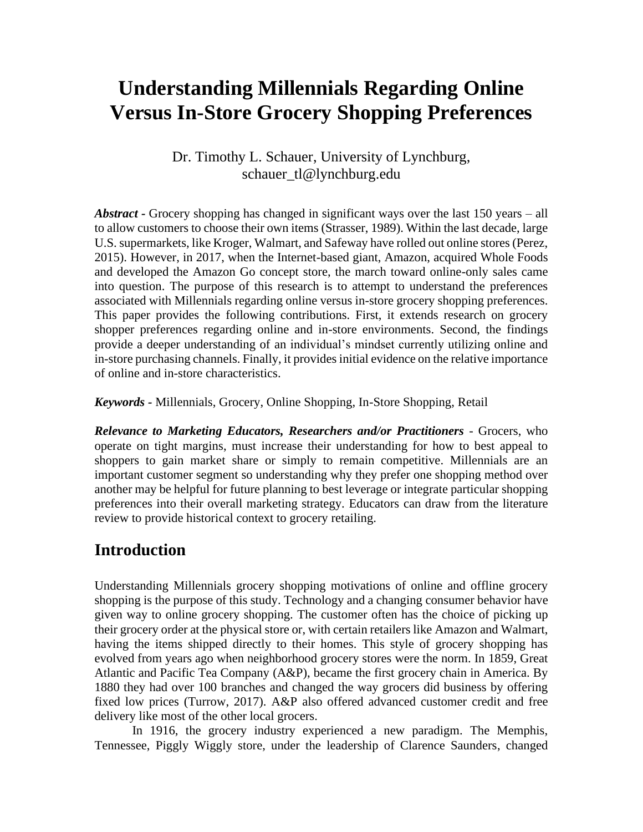# **Understanding Millennials Regarding Online Versus In-Store Grocery Shopping Preferences**

#### Dr. Timothy L. Schauer, University of Lynchburg, schauer\_tl@lynchburg.edu

*Abstract -* Grocery shopping has changed in significant ways over the last 150 years – all to allow customers to choose their own items (Strasser, 1989). Within the last decade, large U.S. supermarkets, like Kroger, Walmart, and Safeway have rolled out online stores (Perez, 2015). However, in 2017, when the Internet-based giant, Amazon, acquired Whole Foods and developed the Amazon Go concept store, the march toward online-only sales came into question. The purpose of this research is to attempt to understand the preferences associated with Millennials regarding online versus in-store grocery shopping preferences. This paper provides the following contributions. First, it extends research on grocery shopper preferences regarding online and in-store environments. Second, the findings provide a deeper understanding of an individual's mindset currently utilizing online and in-store purchasing channels. Finally, it provides initial evidence on the relative importance of online and in-store characteristics.

*Keywords -* Millennials, Grocery, Online Shopping, In-Store Shopping, Retail

*Relevance to Marketing Educators, Researchers and/or Practitioners* - Grocers, who operate on tight margins, must increase their understanding for how to best appeal to shoppers to gain market share or simply to remain competitive. Millennials are an important customer segment so understanding why they prefer one shopping method over another may be helpful for future planning to best leverage or integrate particular shopping preferences into their overall marketing strategy. Educators can draw from the literature review to provide historical context to grocery retailing.

## **Introduction**

Understanding Millennials grocery shopping motivations of online and offline grocery shopping is the purpose of this study. Technology and a changing consumer behavior have given way to online grocery shopping. The customer often has the choice of picking up their grocery order at the physical store or, with certain retailers like Amazon and Walmart, having the items shipped directly to their homes. This style of grocery shopping has evolved from years ago when neighborhood grocery stores were the norm. In 1859, Great Atlantic and Pacific Tea Company (A&P), became the first grocery chain in America. By 1880 they had over 100 branches and changed the way grocers did business by offering fixed low prices (Turrow, 2017). A&P also offered advanced customer credit and free delivery like most of the other local grocers.

In 1916, the grocery industry experienced a new paradigm. The Memphis, Tennessee, Piggly Wiggly store, under the leadership of Clarence Saunders, changed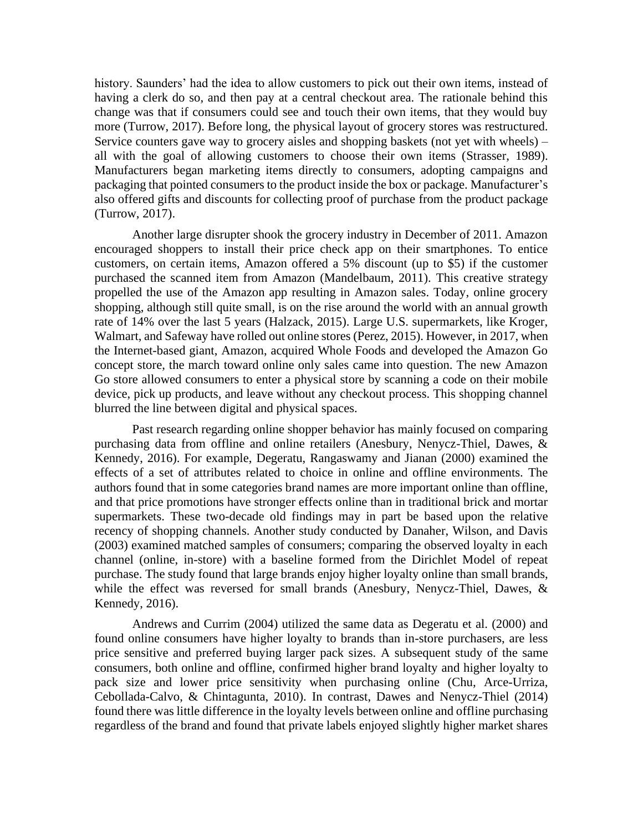history. Saunders' had the idea to allow customers to pick out their own items, instead of having a clerk do so, and then pay at a central checkout area. The rationale behind this change was that if consumers could see and touch their own items, that they would buy more (Turrow, 2017). Before long, the physical layout of grocery stores was restructured. Service counters gave way to grocery aisles and shopping baskets (not yet with wheels) – all with the goal of allowing customers to choose their own items (Strasser, 1989). Manufacturers began marketing items directly to consumers, adopting campaigns and packaging that pointed consumers to the product inside the box or package. Manufacturer's also offered gifts and discounts for collecting proof of purchase from the product package (Turrow, 2017).

Another large disrupter shook the grocery industry in December of 2011. Amazon encouraged shoppers to install their price check app on their smartphones. To entice customers, on certain items, Amazon offered a 5% discount (up to \$5) if the customer purchased the scanned item from Amazon (Mandelbaum, 2011). This creative strategy propelled the use of the Amazon app resulting in Amazon sales. Today, online grocery shopping, although still quite small, is on the rise around the world with an annual growth rate of 14% over the last 5 years (Halzack, 2015). Large U.S. supermarkets, like Kroger, Walmart, and Safeway have rolled out online stores (Perez, 2015). However, in 2017, when the Internet-based giant, Amazon, acquired Whole Foods and developed the Amazon Go concept store, the march toward online only sales came into question. The new Amazon Go store allowed consumers to enter a physical store by scanning a code on their mobile device, pick up products, and leave without any checkout process. This shopping channel blurred the line between digital and physical spaces.

Past research regarding online shopper behavior has mainly focused on comparing purchasing data from offline and online retailers (Anesbury, Nenycz-Thiel, Dawes, & Kennedy, 2016). For example, Degeratu, Rangaswamy and Jianan (2000) examined the effects of a set of attributes related to choice in online and offline environments. The authors found that in some categories brand names are more important online than offline, and that price promotions have stronger effects online than in traditional brick and mortar supermarkets. These two-decade old findings may in part be based upon the relative recency of shopping channels. Another study conducted by Danaher, Wilson, and Davis (2003) examined matched samples of consumers; comparing the observed loyalty in each channel (online, in-store) with a baseline formed from the Dirichlet Model of repeat purchase. The study found that large brands enjoy higher loyalty online than small brands, while the effect was reversed for small brands (Anesbury, Nenycz-Thiel, Dawes, & Kennedy, 2016).

Andrews and Currim (2004) utilized the same data as Degeratu et al. (2000) and found online consumers have higher loyalty to brands than in-store purchasers, are less price sensitive and preferred buying larger pack sizes. A subsequent study of the same consumers, both online and offline, confirmed higher brand loyalty and higher loyalty to pack size and lower price sensitivity when purchasing online (Chu, Arce-Urriza, Cebollada-Calvo, & Chintagunta, 2010). In contrast, Dawes and Nenycz-Thiel (2014) found there was little difference in the loyalty levels between online and offline purchasing regardless of the brand and found that private labels enjoyed slightly higher market shares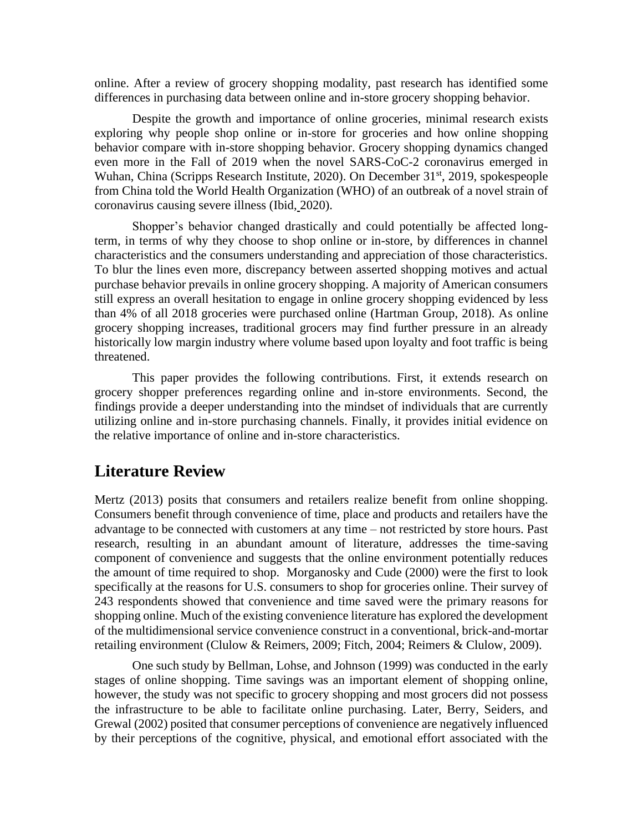online. After a review of grocery shopping modality, past research has identified some differences in purchasing data between online and in-store grocery shopping behavior.

Despite the growth and importance of online groceries, minimal research exists exploring why people shop online or in-store for groceries and how online shopping behavior compare with in-store shopping behavior. Grocery shopping dynamics changed even more in the Fall of 2019 when the novel SARS-CoC-2 coronavirus emerged in Wuhan, China (Scripps Research Institute, 2020). On December 31<sup>st</sup>, 2019, spokespeople from China told the World Health Organization (WHO) of an outbreak of a novel strain of coronavirus causing severe illness (Ibid, 2020).

Shopper's behavior changed drastically and could potentially be affected longterm, in terms of why they choose to shop online or in-store, by differences in channel characteristics and the consumers understanding and appreciation of those characteristics. To blur the lines even more, discrepancy between asserted shopping motives and actual purchase behavior prevails in online grocery shopping. A majority of American consumers still express an overall hesitation to engage in online grocery shopping evidenced by less than 4% of all 2018 groceries were purchased online [\(Hartman Group, 2018\)](https://www-sciencedirect-com.ezproxy.lynchburg.edu/science/article/pii/S0148296320303106?via%3Dihub#b0090). As online grocery shopping increases, traditional grocers may find further pressure in an already historically low margin industry where volume based upon loyalty and foot traffic is being threatened.

This paper provides the following contributions. First, it extends research on grocery shopper preferences regarding online and in-store environments. Second, the findings provide a deeper understanding into the mindset of individuals that are currently utilizing online and in-store purchasing channels. Finally, it provides initial evidence on the relative importance of online and in-store characteristics.

#### **Literature Review**

Mertz (2013) posits that consumers and retailers realize benefit from online shopping. Consumers benefit through convenience of time, place and products and retailers have the advantage to be connected with customers at any time – not restricted by store hours. Past research, resulting in an abundant amount of literature, addresses the time-saving component of convenience and suggests that the online environment potentially reduces the amount of time required to shop. Morganosky and Cude (2000) were the first to look specifically at the reasons for U.S. consumers to shop for groceries online. Their survey of 243 respondents showed that convenience and time saved were the primary reasons for shopping online. Much of the existing convenience literature has explored the development of the multidimensional service convenience construct in a conventional, brick-and-mortar retailing environment (Clulow & Reimers, 2009; Fitch, 2004; Reimers & Clulow, 2009).

One such study by Bellman, Lohse, and Johnson (1999) was conducted in the early stages of online shopping. Time savings was an important element of shopping online, however, the study was not specific to grocery shopping and most grocers did not possess the infrastructure to be able to facilitate online purchasing. Later, Berry, Seiders, and Grewal (2002) posited that consumer perceptions of convenience are negatively influenced by their perceptions of the cognitive, physical, and emotional effort associated with the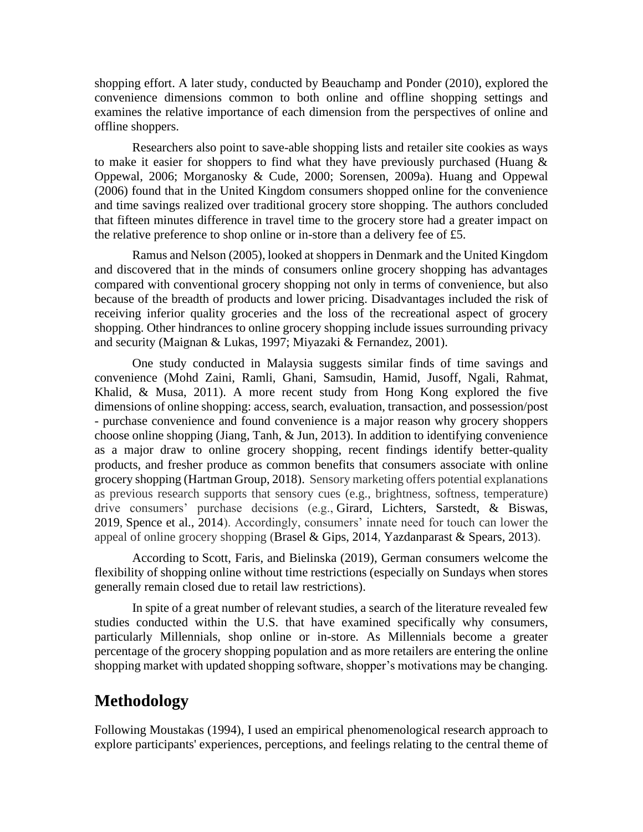shopping effort. A later study, conducted by Beauchamp and Ponder (2010), explored the convenience dimensions common to both online and offline shopping settings and examines the relative importance of each dimension from the perspectives of online and offline shoppers.

Researchers also point to save-able shopping lists and retailer site cookies as ways to make it easier for shoppers to find what they have previously purchased (Huang  $\&$ Oppewal, 2006; Morganosky & Cude, 2000; Sorensen, 2009a). Huang and Oppewal (2006) found that in the United Kingdom consumers shopped online for the convenience and time savings realized over traditional grocery store shopping. The authors concluded that fifteen minutes difference in travel time to the grocery store had a greater impact on the relative preference to shop online or in-store than a delivery fee of £5.

Ramus and Nelson (2005), looked at shoppers in Denmark and the United Kingdom and discovered that in the minds of consumers online grocery shopping has advantages compared with conventional grocery shopping not only in terms of convenience, but also because of the breadth of products and lower pricing. Disadvantages included the risk of receiving inferior quality groceries and the loss of the recreational aspect of grocery shopping. Other hindrances to online grocery shopping include issues surrounding privacy and security (Maignan & Lukas, 1997; Miyazaki & Fernandez, 2001).

One study conducted in Malaysia suggests similar finds of time savings and convenience (Mohd Zaini, Ramli, Ghani, Samsudin, Hamid, Jusoff, Ngali, Rahmat, Khalid, & Musa, 2011). A more recent study from Hong Kong explored the five dimensions of online shopping: access, search, evaluation, transaction, and possession/post - purchase convenience and found convenience is a major reason why grocery shoppers choose online shopping (Jiang, Tanh, & Jun, 2013). In addition to identifying convenience as a major draw to online grocery shopping, recent findings identify better-quality products, and fresher produce as common benefits that consumers associate with online grocery shopping [\(Hartman Group, 2018\)](https://www-sciencedirect-com.ezproxy.lynchburg.edu/science/article/pii/S0148296320303106?via%3Dihub#b0090). Sensory marketing offers potential explanations as previous research supports that sensory cues (e.g., brightness, softness, temperature) drive consumers' purchase decisions (e.g., Girard, Lichters, Sarstedt, & Biswas, 2019, Spence et al., 2014). Accordingly, consumers' innate need for touch can lower the appeal of online grocery shopping (Brasel & Gips, 2014, Yazdanparast & Spears, 2013).

According to [Scott, Faris, and Bielinska \(2019\),](https://www-sciencedirect-com.ezproxy.lynchburg.edu/science/article/pii/S0148296320303106?via%3Dihub#b0255) German consumers welcome the flexibility of shopping online without time restrictions (especially on Sundays when stores generally remain closed due to retail law restrictions).

In spite of a great number of relevant studies, a search of the literature revealed few studies conducted within the U.S. that have examined specifically why consumers, particularly Millennials, shop online or in-store. As Millennials become a greater percentage of the grocery shopping population and as more retailers are entering the online shopping market with updated shopping software, shopper's motivations may be changing.

### **Methodology**

Following Moustakas (1994), I used an empirical phenomenological research approach to explore participants' experiences, perceptions, and feelings relating to the central theme of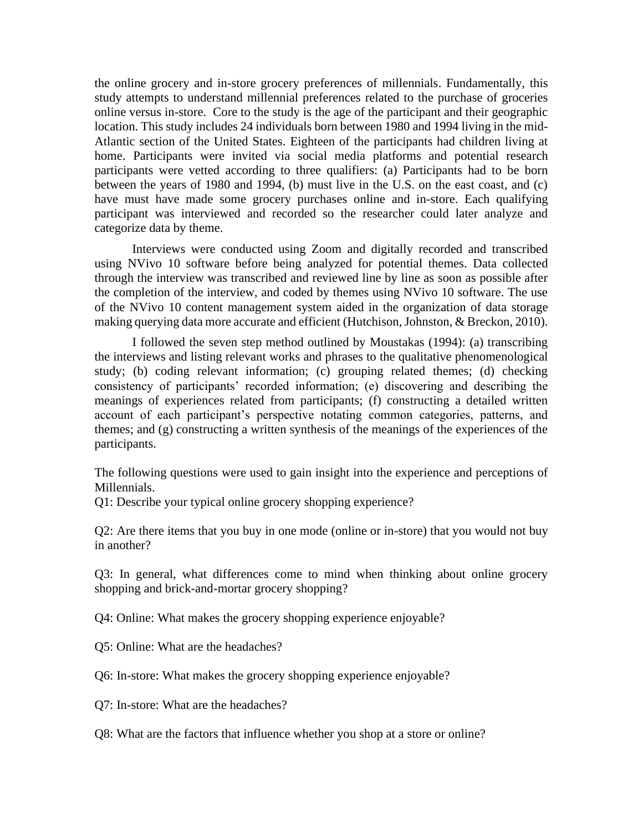the online grocery and in-store grocery preferences of millennials. Fundamentally, this study attempts to understand millennial preferences related to the purchase of groceries online versus in-store. Core to the study is the age of the participant and their geographic location. This study includes 24 individuals born between 1980 and 1994 living in the mid-Atlantic section of the United States. Eighteen of the participants had children living at home. Participants were invited via social media platforms and potential research participants were vetted according to three qualifiers: (a) Participants had to be born between the years of 1980 and 1994, (b) must live in the U.S. on the east coast, and (c) have must have made some grocery purchases online and in-store. Each qualifying participant was interviewed and recorded so the researcher could later analyze and categorize data by theme.

Interviews were conducted using Zoom and digitally recorded and transcribed using NVivo 10 software before being analyzed for potential themes. Data collected through the interview was transcribed and reviewed line by line as soon as possible after the completion of the interview, and coded by themes using NVivo 10 software. The use of the NVivo 10 content management system aided in the organization of data storage making querying data more accurate and efficient (Hutchison, Johnston, & Breckon, 2010).

I followed the seven step method outlined by Moustakas (1994): (a) transcribing the interviews and listing relevant works and phrases to the qualitative phenomenological study; (b) coding relevant information; (c) grouping related themes; (d) checking consistency of participants' recorded information; (e) discovering and describing the meanings of experiences related from participants; (f) constructing a detailed written account of each participant's perspective notating common categories, patterns, and themes; and (g) constructing a written synthesis of the meanings of the experiences of the participants.

The following questions were used to gain insight into the experience and perceptions of Millennials.

Q1: Describe your typical online grocery shopping experience?

Q2: Are there items that you buy in one mode (online or in-store) that you would not buy in another?

Q3: In general, what differences come to mind when thinking about online grocery shopping and brick-and-mortar grocery shopping?

Q4: Online: What makes the grocery shopping experience enjoyable?

Q5: Online: What are the headaches?

Q6: In-store: What makes the grocery shopping experience enjoyable?

Q7: In-store: What are the headaches?

Q8: What are the factors that influence whether you shop at a store or online?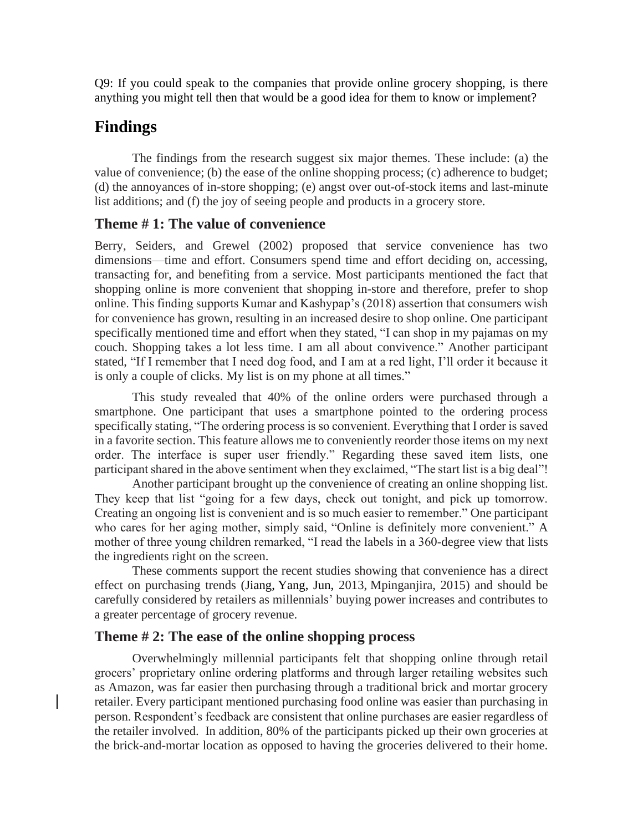Q9: If you could speak to the companies that provide online grocery shopping, is there anything you might tell then that would be a good idea for them to know or implement?

### **Findings**

The findings from the research suggest six major themes. These include: (a) the value of convenience; (b) the ease of the online shopping process; (c) adherence to budget; (d) the annoyances of in-store shopping; (e) angst over out-of-stock items and last-minute list additions; and (f) the joy of seeing people and products in a grocery store.

#### **Theme # 1: The value of convenience**

Berry, Seiders, and Grewel (2002) proposed that service convenience has two dimensions—time and effort. Consumers spend time and effort deciding on, accessing, transacting for, and benefiting from a service. Most participants mentioned the fact that shopping online is more convenient that shopping in-store and therefore, prefer to shop online. This finding supports Kumar and Kashypap's (2018) assertion that consumers wish for convenience has grown, resulting in an increased desire to shop online. One participant specifically mentioned time and effort when they stated, "I can shop in my pajamas on my couch. Shopping takes a lot less time. I am all about convivence." Another participant stated, "If I remember that I need dog food, and I am at a red light, I'll order it because it is only a couple of clicks. My list is on my phone at all times."

This study revealed that 40% of the online orders were purchased through a smartphone. One participant that uses a smartphone pointed to the ordering process specifically stating, "The ordering process is so convenient. Everything that I order is saved in a favorite section. This feature allows me to conveniently reorder those items on my next order. The interface is super user friendly." Regarding these saved item lists, one participant shared in the above sentiment when they exclaimed, "The start list is a big deal"!

Another participant brought up the convenience of creating an online shopping list. They keep that list "going for a few days, check out tonight, and pick up tomorrow. Creating an ongoing list is convenient and is so much easier to remember." One participant who cares for her aging mother, simply said, "Online is definitely more convenient." A mother of three young children remarked, "I read the labels in a 360-degree view that lists the ingredients right on the screen.

These comments support the recent studies showing that convenience has a direct effect on purchasing trends (Jiang, Yang, Jun, 2013, Mpinganjira, 2015) and should be carefully considered by retailers as millennials' buying power increases and contributes to a greater percentage of grocery revenue.

#### **Theme # 2: The ease of the online shopping process**

Overwhelmingly millennial participants felt that shopping online through retail grocers' proprietary online ordering platforms and through larger retailing websites such as Amazon, was far easier then purchasing through a traditional brick and mortar grocery retailer. Every participant mentioned purchasing food online was easier than purchasing in person. Respondent's feedback are consistent that online purchases are easier regardless of the retailer involved. In addition, 80% of the participants picked up their own groceries at the brick-and-mortar location as opposed to having the groceries delivered to their home.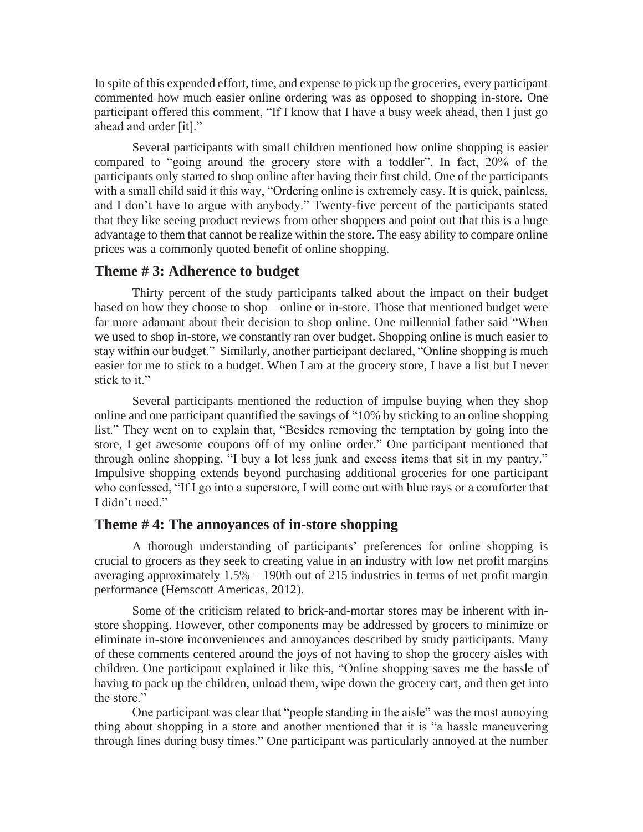In spite of this expended effort, time, and expense to pick up the groceries, every participant commented how much easier online ordering was as opposed to shopping in-store. One participant offered this comment, "If I know that I have a busy week ahead, then I just go ahead and order [it]."

Several participants with small children mentioned how online shopping is easier compared to "going around the grocery store with a toddler". In fact, 20% of the participants only started to shop online after having their first child. One of the participants with a small child said it this way, "Ordering online is extremely easy. It is quick, painless, and I don't have to argue with anybody." Twenty-five percent of the participants stated that they like seeing product reviews from other shoppers and point out that this is a huge advantage to them that cannot be realize within the store. The easy ability to compare online prices was a commonly quoted benefit of online shopping.

#### **Theme # 3: Adherence to budget**

Thirty percent of the study participants talked about the impact on their budget based on how they choose to shop – online or in-store. Those that mentioned budget were far more adamant about their decision to shop online. One millennial father said "When we used to shop in-store, we constantly ran over budget. Shopping online is much easier to stay within our budget." Similarly, another participant declared, "Online shopping is much easier for me to stick to a budget. When I am at the grocery store, I have a list but I never stick to it."

Several participants mentioned the reduction of impulse buying when they shop online and one participant quantified the savings of "10% by sticking to an online shopping list." They went on to explain that, "Besides removing the temptation by going into the store, I get awesome coupons off of my online order." One participant mentioned that through online shopping, "I buy a lot less junk and excess items that sit in my pantry." Impulsive shopping extends beyond purchasing additional groceries for one participant who confessed, "If I go into a superstore, I will come out with blue rays or a comforter that I didn't need."

#### **Theme # 4: The annoyances of in-store shopping**

A thorough understanding of participants' preferences for online shopping is crucial to grocers as they seek to creating value in an industry with low net profit margins averaging approximately 1.5% – 190th out of 215 industries in terms of net profit margin performance [\(Hemscott Americas, 2012\)](https://www.emerald.com/insight/content/doi/10.1108/EJM-01-2014-0047/full/html?casa_token=tSSgSkGQ2HYAAAAA:n5cad4hwfmy6jCw8nitFXlHDWcfeh3pdhYw50of3VpsN2P-Xxl8JABZXjnlaPAn11iTwyxV4WT3vpbZmebacrr_0lCkneRgnTgbDUMQk7BJQOTfpKmnc#b38).

Some of the criticism related to brick-and-mortar stores may be inherent with instore shopping. However, other components may be addressed by grocers to minimize or eliminate in-store inconveniences and annoyances described by study participants. Many of these comments centered around the joys of not having to shop the grocery aisles with children. One participant explained it like this, "Online shopping saves me the hassle of having to pack up the children, unload them, wipe down the grocery cart, and then get into the store."

One participant was clear that "people standing in the aisle" was the most annoying thing about shopping in a store and another mentioned that it is "a hassle maneuvering through lines during busy times." One participant was particularly annoyed at the number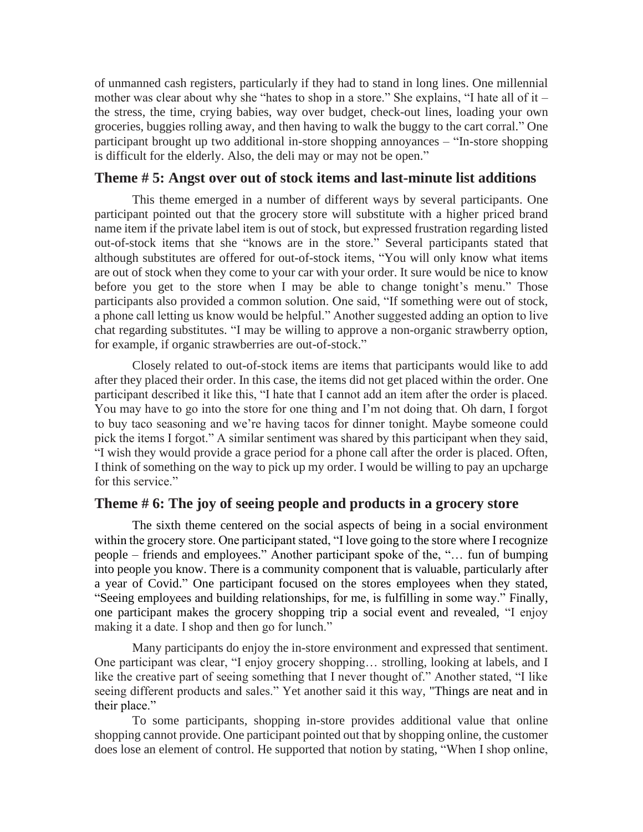of unmanned cash registers, particularly if they had to stand in long lines. One millennial mother was clear about why she "hates to shop in a store." She explains, "I hate all of it – the stress, the time, crying babies, way over budget, check-out lines, loading your own groceries, buggies rolling away, and then having to walk the buggy to the cart corral." One participant brought up two additional in-store shopping annoyances – "In-store shopping is difficult for the elderly. Also, the deli may or may not be open."

#### **Theme # 5: Angst over out of stock items and last-minute list additions**

This theme emerged in a number of different ways by several participants. One participant pointed out that the grocery store will substitute with a higher priced brand name item if the private label item is out of stock, but expressed frustration regarding listed out-of-stock items that she "knows are in the store." Several participants stated that although substitutes are offered for out-of-stock items, "You will only know what items are out of stock when they come to your car with your order. It sure would be nice to know before you get to the store when I may be able to change tonight's menu." Those participants also provided a common solution. One said, "If something were out of stock, a phone call letting us know would be helpful." Another suggested adding an option to live chat regarding substitutes. "I may be willing to approve a non-organic strawberry option, for example, if organic strawberries are out-of-stock."

Closely related to out-of-stock items are items that participants would like to add after they placed their order. In this case, the items did not get placed within the order. One participant described it like this, "I hate that I cannot add an item after the order is placed. You may have to go into the store for one thing and I'm not doing that. Oh darn, I forgot to buy taco seasoning and we're having tacos for dinner tonight. Maybe someone could pick the items I forgot." A similar sentiment was shared by this participant when they said, "I wish they would provide a grace period for a phone call after the order is placed. Often, I think of something on the way to pick up my order. I would be willing to pay an upcharge for this service."

#### **Theme # 6: The joy of seeing people and products in a grocery store**

The sixth theme centered on the social aspects of being in a social environment within the grocery store. One participant stated, "I love going to the store where I recognize people – friends and employees." Another participant spoke of the, "… fun of bumping into people you know. There is a community component that is valuable, particularly after a year of Covid." One participant focused on the stores employees when they stated, "Seeing employees and building relationships, for me, is fulfilling in some way." Finally, one participant makes the grocery shopping trip a social event and revealed, "I enjoy making it a date. I shop and then go for lunch."

Many participants do enjoy the in-store environment and expressed that sentiment. One participant was clear, "I enjoy grocery shopping… strolling, looking at labels, and I like the creative part of seeing something that I never thought of." Another stated, "I like seeing different products and sales." Yet another said it this way, "Things are neat and in their place."

To some participants, shopping in-store provides additional value that online shopping cannot provide. One participant pointed out that by shopping online, the customer does lose an element of control. He supported that notion by stating, "When I shop online,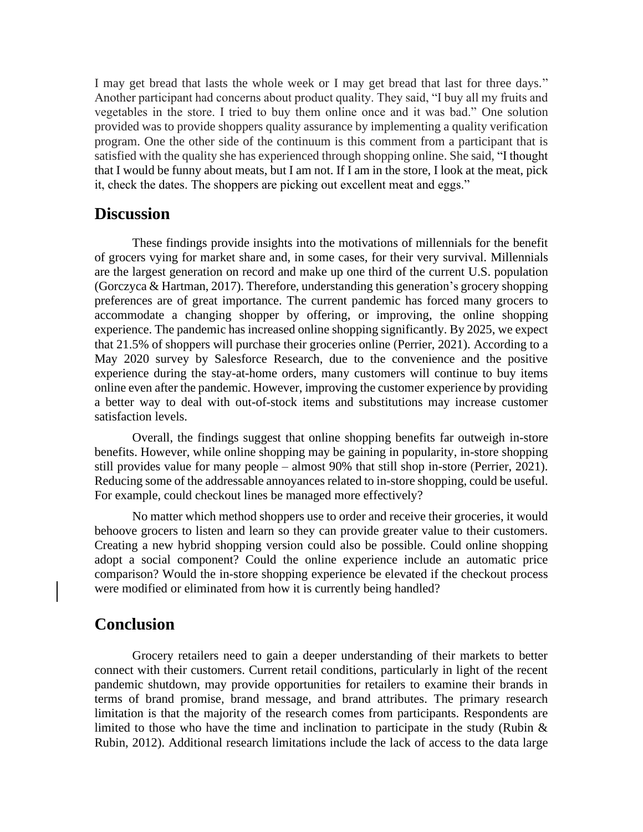I may get bread that lasts the whole week or I may get bread that last for three days." Another participant had concerns about product quality. They said, "I buy all my fruits and vegetables in the store. I tried to buy them online once and it was bad." One solution provided was to provide shoppers quality assurance by implementing a quality verification program. One the other side of the continuum is this comment from a participant that is satisfied with the quality she has experienced through shopping online. She said, "I thought that I would be funny about meats, but I am not. If I am in the store, I look at the meat, pick it, check the dates. The shoppers are picking out excellent meat and eggs."

#### **Discussion**

These findings provide insights into the motivations of millennials for the benefit of grocers vying for market share and, in some cases, for their very survival. Millennials are the largest generation on record and make up one third of the current U.S. population (Gorczyca & Hartman, 2017). Therefore, understanding this generation's grocery shopping preferences are of great importance. The current pandemic has forced many grocers to accommodate a changing shopper by offering, or improving, the online shopping experience. The pandemic has increased online shopping significantly. By 2025, we expect that 21.5% of shoppers will purchase their groceries online (Perrier, 2021). According to a May 2020 survey by Salesforce Research, due to the convenience and the positive experience during the stay-at-home orders, many customers will continue to buy items online even after the pandemic. However, improving the customer experience by providing a better way to deal with out-of-stock items and substitutions may increase customer satisfaction levels.

Overall, the findings suggest that online shopping benefits far outweigh in-store benefits. However, while online shopping may be gaining in popularity, in-store shopping still provides value for many people – almost 90% that still shop in-store (Perrier, 2021). Reducing some of the addressable annoyances related to in-store shopping, could be useful. For example, could checkout lines be managed more effectively?

No matter which method shoppers use to order and receive their groceries, it would behoove grocers to listen and learn so they can provide greater value to their customers. Creating a new hybrid shopping version could also be possible. Could online shopping adopt a social component? Could the online experience include an automatic price comparison? Would the in-store shopping experience be elevated if the checkout process were modified or eliminated from how it is currently being handled?

#### **Conclusion**

Grocery retailers need to gain a deeper understanding of their markets to better connect with their customers. Current retail conditions, particularly in light of the recent pandemic shutdown, may provide opportunities for retailers to examine their brands in terms of brand promise, brand message, and brand attributes. The primary research limitation is that the majority of the research comes from participants. Respondents are limited to those who have the time and inclination to participate in the study (Rubin  $\&$ Rubin, 2012). Additional research limitations include the lack of access to the data large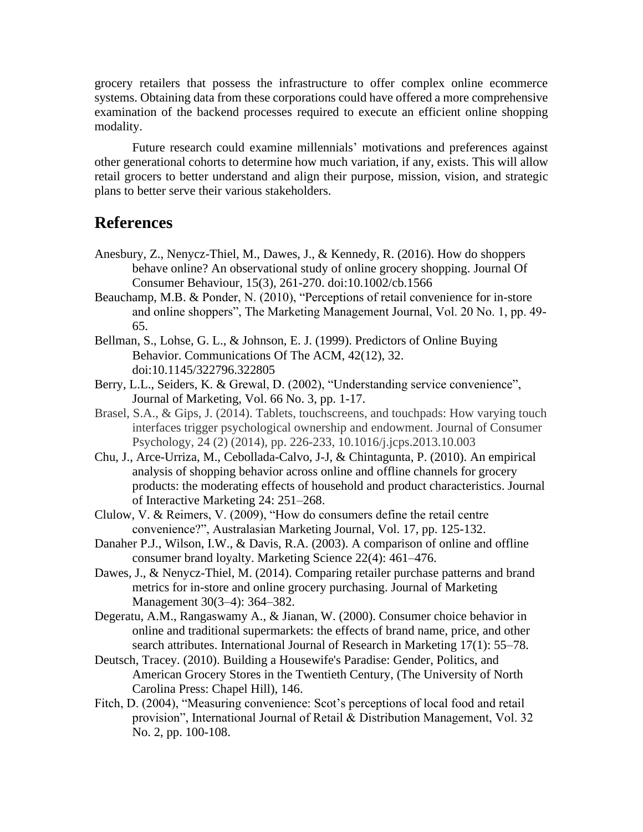grocery retailers that possess the infrastructure to offer complex online ecommerce systems. Obtaining data from these corporations could have offered a more comprehensive examination of the backend processes required to execute an efficient online shopping modality.

Future research could examine millennials' motivations and preferences against other generational cohorts to determine how much variation, if any, exists. This will allow retail grocers to better understand and align their purpose, mission, vision, and strategic plans to better serve their various stakeholders.

### **References**

- Anesbury, Z., Nenycz-Thiel, M., Dawes, J., & Kennedy, R. (2016). How do shoppers behave online? An observational study of online grocery shopping. Journal Of Consumer Behaviour, 15(3), 261-270. doi:10.1002/cb.1566
- Beauchamp, M.B. & Ponder, N. (2010), "Perceptions of retail convenience for in-store and online shoppers", The Marketing Management Journal, Vol. 20 No. 1, pp. 49- 65.
- Bellman, S., Lohse, G. L., & Johnson, E. J. (1999). Predictors of Online Buying Behavior. Communications Of The ACM, 42(12), 32. doi:10.1145/322796.322805
- Berry, L.L., Seiders, K. & Grewal, D. (2002), "Understanding service convenience", Journal of Marketing, Vol. 66 No. 3, pp. 1-17.
- Brasel, S.A., & Gips, J. (2014). Tablets, touchscreens, and touchpads: How varying touch interfaces trigger psychological ownership and endowment. Journal of Consumer Psychology, 24 (2) (2014), pp. 226-233, 10.1016/j.jcps.2013.10.003
- Chu, J., Arce-Urriza, M., Cebollada-Calvo, J-J, & Chintagunta, P. (2010). An empirical analysis of shopping behavior across online and offline channels for grocery products: the moderating effects of household and product characteristics. Journal of Interactive Marketing 24: 251–268.
- Clulow, V. & Reimers, V. (2009), "How do consumers define the retail centre convenience?", Australasian Marketing Journal, Vol. 17, pp. 125-132.
- Danaher P.J., Wilson, I.W., & Davis, R.A. (2003). A comparison of online and offline consumer brand loyalty. Marketing Science 22(4): 461–476.
- Dawes, J., & Nenycz-Thiel, M. (2014). Comparing retailer purchase patterns and brand metrics for in-store and online grocery purchasing. Journal of Marketing Management 30(3–4): 364–382.
- Degeratu, A.M., Rangaswamy A., & Jianan, W. (2000). Consumer choice behavior in online and traditional supermarkets: the effects of brand name, price, and other search attributes. International Journal of Research in Marketing 17(1): 55–78.
- Deutsch, Tracey. (2010). Building a Housewife's Paradise: Gender, Politics, and American Grocery Stores in the Twentieth Century, (The University of North Carolina Press: Chapel Hill), 146.
- Fitch, D. (2004), "Measuring convenience: Scot's perceptions of local food and retail provision", International Journal of Retail & Distribution Management, Vol. 32 No. 2, pp. 100-108.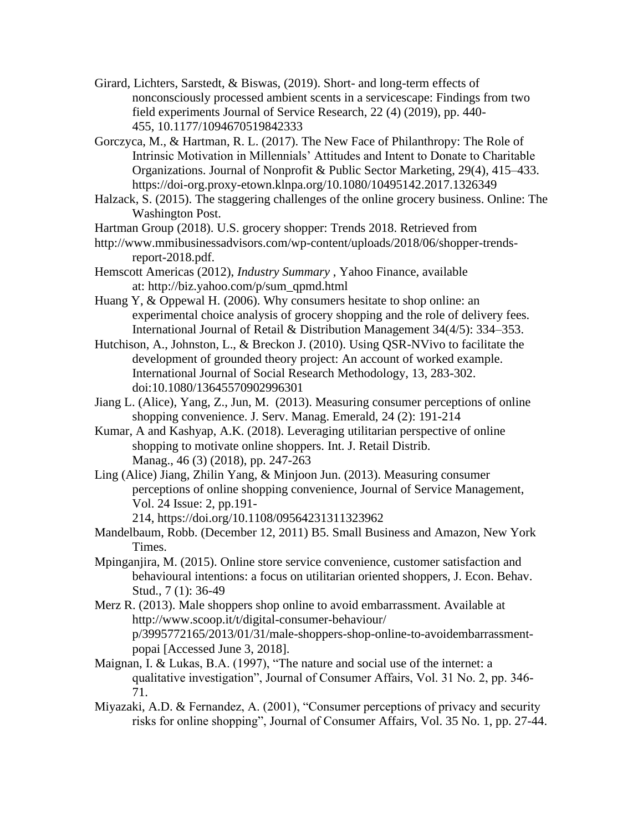Girard, Lichters, Sarstedt, & Biswas, (2019). Short- and long-term effects of nonconsciously processed ambient scents in a servicescape: Findings from two field experiments Journal of Service Research, 22 (4) (2019), pp. 440- 455, 10.1177/1094670519842333

Gorczyca, M., & Hartman, R. L. (2017). The New Face of Philanthropy: The Role of Intrinsic Motivation in Millennials' Attitudes and Intent to Donate to Charitable Organizations. Journal of Nonprofit & Public Sector Marketing, 29(4), 415–433. https://doi-org.proxy-etown.klnpa.org/10.1080/10495142.2017.1326349

- Halzack, S. (2015). The staggering challenges of the online grocery business. Online: The Washington Post.
- Hartman Group (2018). U.S. grocery shopper: Trends 2018. Retrieved from
- http://www.mmibusinessadvisors.com/wp-content/uploads/2018/06/shopper-trendsreport-2018.pdf.
- Hemscott Americas (2012), *Industry Summary* , Yahoo Finance, available at: http://biz.yahoo.com/p/sum\_qpmd.html
- Huang Y, & Oppewal H. (2006). Why consumers hesitate to shop online: an experimental choice analysis of grocery shopping and the role of delivery fees. International Journal of Retail & Distribution Management 34(4/5): 334–353.
- Hutchison, A., Johnston, L., & Breckon J. (2010). Using QSR-NVivo to facilitate the development of grounded theory project: An account of worked example. International Journal of Social Research Methodology, 13, 283-302. doi:10.1080/13645570902996301
- Jiang L. (Alice), Yang, Z., Jun, M. (2013). Measuring consumer perceptions of online shopping convenience. J. Serv. Manag. Emerald, 24 (2): 191-214
- Kumar, A and Kashyap, A.K. (2018). Leveraging utilitarian perspective of online shopping to motivate online shoppers. Int. J. Retail Distrib. Manag., 46 (3) (2018), pp. 247-263
- Ling (Alice) Jiang, Zhilin Yang, & Minjoon Jun. (2013). Measuring consumer perceptions of online shopping convenience, Journal of Service Management, Vol. 24 Issue: 2, pp.191-
	- 214, https://doi.org/10.1108/09564231311323962
- Mandelbaum, Robb. (December 12, 2011) B5. Small Business and Amazon, New York Times.
- Mpinganjira, M. (2015). Online store service convenience, customer satisfaction and behavioural intentions: a focus on utilitarian oriented shoppers, J. Econ. Behav. Stud., 7 (1): 36-49
- Merz R. (2013). Male shoppers shop online to avoid embarrassment. Available at http://www.scoop.it/t/digital-consumer-behaviour/ p/3995772165/2013/01/31/male-shoppers-shop-online-to-avoidembarrassmentpopai [Accessed June 3, 2018].
- Maignan, I. & Lukas, B.A. (1997), "The nature and social use of the internet: a qualitative investigation", Journal of Consumer Affairs, Vol. 31 No. 2, pp. 346- 71.
- Miyazaki, A.D. & Fernandez, A. (2001), "Consumer perceptions of privacy and security risks for online shopping", Journal of Consumer Affairs, Vol. 35 No. 1, pp. 27-44.